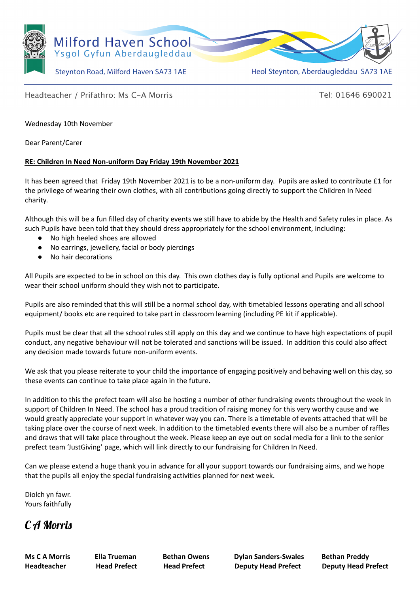

Steynton Road, Milford Haven SA73 1AE

Heol Steynton, Aberdaugleddau SA73 1AE

## Headteacher / Prifathro: Ms C-A Morris

Tel: 01646 690021

Wednesday 10th November

Dear Parent/Carer

## **RE: Children In Need Non-uniform Day Friday 19th November 2021**

It has been agreed that Friday 19th November 2021 is to be a non-uniform day. Pupils are asked to contribute £1 for the privilege of wearing their own clothes, with all contributions going directly to support the Children In Need charity.

Although this will be a fun filled day of charity events we still have to abide by the Health and Safety rules in place. As such Pupils have been told that they should dress appropriately for the school environment, including:

- No high heeled shoes are allowed
- No earrings, jewellery, facial or body piercings
- No hair decorations

All Pupils are expected to be in school on this day. This own clothes day is fully optional and Pupils are welcome to wear their school uniform should they wish not to participate.

Pupils are also reminded that this will still be a normal school day, with timetabled lessons operating and all school equipment/ books etc are required to take part in classroom learning (including PE kit if applicable).

Pupils must be clear that all the school rules still apply on this day and we continue to have high expectations of pupil conduct, any negative behaviour will not be tolerated and sanctions will be issued. In addition this could also affect any decision made towards future non-uniform events.

We ask that you please reiterate to your child the importance of engaging positively and behaving well on this day, so these events can continue to take place again in the future.

In addition to this the prefect team will also be hosting a number of other fundraising events throughout the week in support of Children In Need. The school has a proud tradition of raising money for this very worthy cause and we would greatly appreciate your support in whatever way you can. There is a timetable of events attached that will be taking place over the course of next week. In addition to the timetabled events there will also be a number of raffles and draws that will take place throughout the week. Please keep an eye out on social media for a link to the senior prefect team 'JustGiving' page, which will link directly to our fundraising for Children In Need.

Can we please extend a huge thank you in advance for all your support towards our fundraising aims, and we hope that the pupils all enjoy the special fundraising activities planned for next week.

Diolch yn fawr. Yours faithfully

## C A Morris

**Ms C A Morris Ella Trueman Bethan Owens Dylan Sanders-Swales Bethan Preddy Headteacher Head Prefect Head Prefect Deputy Head Prefect Deputy Head Prefect**